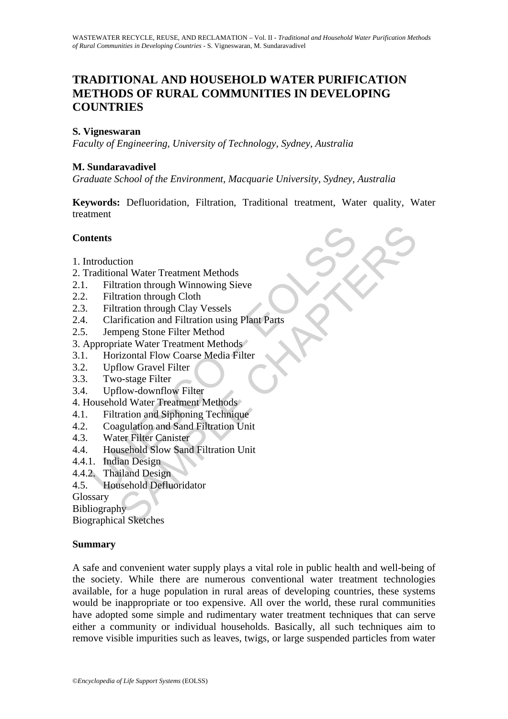# **TRADITIONAL AND HOUSEHOLD WATER PURIFICATION METHODS OF RURAL COMMUNITIES IN DEVELOPING COUNTRIES**

#### **S. Vigneswaran**

*Faculty of Engineering, University of Technology, Sydney, Australia* 

#### **M. Sundaravadivel**

*Graduate School of the Environment, Macquarie University, Sydney, Australia* 

**Keywords:** Defluoridation, Filtration, Traditional treatment, Water quality, Water treatment

#### **Contents**

- 1. Introduction
- 2. Traditional Water Treatment Methods
- 2.1. Filtration through Winnowing Sieve
- 2.2. Filtration through Cloth
- 2.3. Filtration through Clay Vessels
- **Example 18 Accord Strategies (Filtration detects)**<br>
Filtration drough Winnowing Sieve<br>
Filtration through Cloth<br>
Filtration drough Cloth<br>
Filtration and Filtration using Plant Parts<br>
Jempeng Stone Filter Method<br>
ppropriat tion<br>
anal Water Treatment Methods<br>
ration through Winnowing Sieve<br>
ration through Cloth<br>
ration and Filiration using Plant Parts<br>
rification and Filiration using Plant Parts<br>
rification and Filirer<br>
ration Gravel Filirer<br> 2.4. Clarification and Filtration using Plant Parts
- 2.5. Jempeng Stone Filter Method
- 3. Appropriate Water Treatment Methods
- 3.1. Horizontal Flow Coarse Media Filter
- 3.2. Upflow Gravel Filter
- 3.3. Two-stage Filter
- 3.4. Upflow-downflow Filter
- 4. Household Water Treatment Methods
- 4.1. Filtration and Siphoning Technique
- 4.2. Coagulation and Sand Filtration Unit<br>4.3. Water Filter Canister
- Water Filter Canister
- 4.4. Household Slow Sand Filtration Unit
- 4.4.1. Indian Design
- 4.4.2. Thailand Design
- 4.5. Household Defluoridator

Glossary

Bibliography

Biographical Sketches

#### **Summary**

A safe and convenient water supply plays a vital role in public health and well-being of the society. While there are numerous conventional water treatment technologies available, for a huge population in rural areas of developing countries, these systems would be inappropriate or too expensive. All over the world, these rural communities have adopted some simple and rudimentary water treatment techniques that can serve either a community or individual households. Basically, all such techniques aim to remove visible impurities such as leaves, twigs, or large suspended particles from water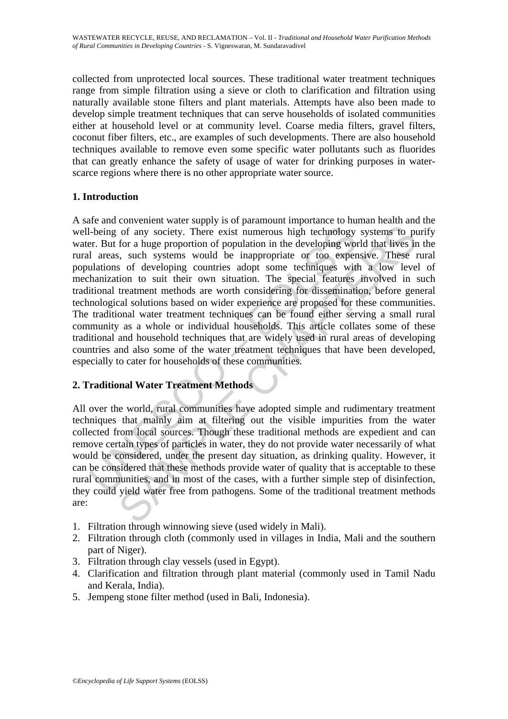collected from unprotected local sources. These traditional water treatment techniques range from simple filtration using a sieve or cloth to clarification and filtration using naturally available stone filters and plant materials. Attempts have also been made to develop simple treatment techniques that can serve households of isolated communities either at household level or at community level. Coarse media filters, gravel filters, coconut fiber filters, etc., are examples of such developments. There are also household techniques available to remove even some specific water pollutants such as fluorides that can greatly enhance the safety of usage of water for drinking purposes in waterscarce regions where there is no other appropriate water source.

## **1. Introduction**

I-being of any society. There exist numerous high technology<br>
er. But for a huge proportion of population in the developing would<br>
1 areas, such systems would be inappropriate or too exper-<br>
ulations of developing countrie of any society. There exist numerous high technology systems to portom a high technology systems to portom a high exist numerous high technology systems to portom a high technology world that lives in the competition of po A safe and convenient water supply is of paramount importance to human health and the well-being of any society. There exist numerous high technology systems to purify water. But for a huge proportion of population in the developing world that lives in the rural areas, such systems would be inappropriate or too expensive. These rural populations of developing countries adopt some techniques with a low level of mechanization to suit their own situation. The special features involved in such traditional treatment methods are worth considering for dissemination, before general technological solutions based on wider experience are proposed for these communities. The traditional water treatment techniques can be found either serving a small rural community as a whole or individual households. This article collates some of these traditional and household techniques that are widely used in rural areas of developing countries and also some of the water treatment techniques that have been developed, especially to cater for households of these communities.

# **2. Traditional Water Treatment Methods**

All over the world, rural communities have adopted simple and rudimentary treatment techniques that mainly aim at filtering out the visible impurities from the water collected from local sources. Though these traditional methods are expedient and can remove certain types of particles in water, they do not provide water necessarily of what would be considered, under the present day situation, as drinking quality. However, it can be considered that these methods provide water of quality that is acceptable to these rural communities, and in most of the cases, with a further simple step of disinfection, they could yield water free from pathogens. Some of the traditional treatment methods are:

- 1. Filtration through winnowing sieve (used widely in Mali).
- 2. Filtration through cloth (commonly used in villages in India, Mali and the southern part of Niger).
- 3. Filtration through clay vessels (used in Egypt).
- 4. Clarification and filtration through plant material (commonly used in Tamil Nadu and Kerala, India).
- 5. Jempeng stone filter method (used in Bali, Indonesia).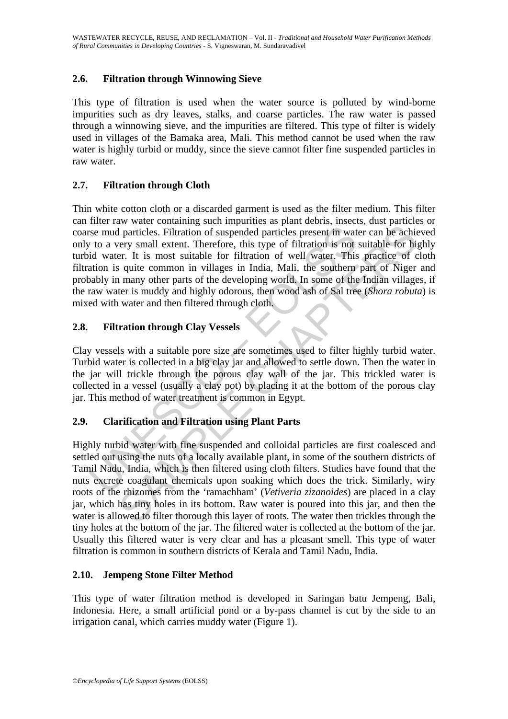# **2.6. Filtration through Winnowing Sieve**

This type of filtration is used when the water source is polluted by wind-borne impurities such as dry leaves, stalks, and coarse particles. The raw water is passed through a winnowing sieve, and the impurities are filtered. This type of filter is widely used in villages of the Bamaka area, Mali. This method cannot be used when the raw water is highly turbid or muddy, since the sieve cannot filter fine suspended particles in raw water.

## **2.7. Filtration through Cloth**

Solution and particles. Filtration of suspended particles present in wat<br>
v to a very small extent. Therefore, this type of filtration is not<br>
id water. It is most suitable for filtration of well water. This<br>
ation is quit Thin white cotton cloth or a discarded garment is used as the filter medium. This filter can filter raw water containing such impurities as plant debris, insects, dust particles or coarse mud particles. Filtration of suspended particles present in water can be achieved only to a very small extent. Therefore, this type of filtration is not suitable for highly turbid water. It is most suitable for filtration of well water. This practice of cloth filtration is quite common in villages in India, Mali, the southern part of Niger and probably in many other parts of the developing world. In some of the Indian villages, if the raw water is muddy and highly odorous, then wood ash of Sal tree (*Shora robuta*) is mixed with water and then filtered through cloth.

# **2.8. Filtration through Clay Vessels**

Clay vessels with a suitable pore size are sometimes used to filter highly turbid water. Turbid water is collected in a big clay jar and allowed to settle down. Then the water in the jar will trickle through the porous clay wall of the jar. This trickled water is collected in a vessel (usually a clay pot) by placing it at the bottom of the porous clay jar. This method of water treatment is common in Egypt.

## **2.9. Clarification and Filtration using Plant Parts**

and particles. Filtration of suspended particles present in water can be achieved and particles. Filtration of suspended particles present in water can be achievery small extent. Therefore, this type of filtration is not s Highly turbid water with fine suspended and colloidal particles are first coalesced and settled out using the nuts of a locally available plant, in some of the southern districts of Tamil Nadu, India, which is then filtered using cloth filters. Studies have found that the nuts excrete coagulant chemicals upon soaking which does the trick. Similarly, wiry roots of the rhizomes from the 'ramachham' (*Vetiveria zizanoides*) are placed in a clay jar, which has tiny holes in its bottom. Raw water is poured into this jar, and then the water is allowed to filter thorough this layer of roots. The water then trickles through the tiny holes at the bottom of the jar. The filtered water is collected at the bottom of the jar. Usually this filtered water is very clear and has a pleasant smell. This type of water filtration is common in southern districts of Kerala and Tamil Nadu, India.

## **2.10. Jempeng Stone Filter Method**

This type of water filtration method is developed in Saringan batu Jempeng, Bali, Indonesia. Here, a small artificial pond or a by-pass channel is cut by the side to an irrigation canal, which carries muddy water (Figure 1).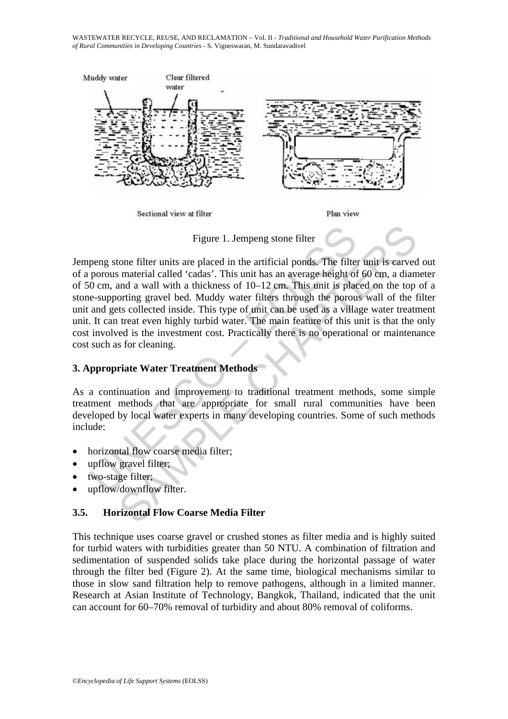WASTEWATER RECYCLE, REUSE, AND RECLAMATION – Vol. II - *Traditional and Household Water Purification Methods of Rural Communities in Developing Countries* - S. Vigneswaran, M. Sundaravadivel



Figure 1. Jempeng stone filter

Figure 1. Jempeng stone filter<br>peng stone filter<br>peng stone filter units are placed in the artificial ponds. The filter<br>porous material called 'cadas'. This unit has an average height of<br>0 cm, and a wall with a thickness o Figure 1. Jempeng stone filter<br>tone filter units are placed in the artificial ponds. The filter unit is carved<br>in a material called 'cadas'. This unit has an average height of 60 cm, a diam<br>and a wall with a thickness of 1 Jempeng stone filter units are placed in the artificial ponds. The filter unit is carved out of a porous material called 'cadas'. This unit has an average height of 60 cm, a diameter of 50 cm, and a wall with a thickness of 10–12 cm. This unit is placed on the top of a stone-supporting gravel bed. Muddy water filters through the porous wall of the filter unit and gets collected inside. This type of unit can be used as a village water treatment unit. It can treat even highly turbid water. The main feature of this unit is that the only cost involved is the investment cost. Practically there is no operational or maintenance cost such as for cleaning.

## **3. Appropriate Water Treatment Methods**

As a continuation and improvement to traditional treatment methods, some simple treatment methods that are appropriate for small rural communities have been developed by local water experts in many developing countries. Some of such methods include:

- horizontal flow coarse media filter;
- upflow gravel filter;
- two-stage filter;
- upflow/downflow filter.

## **3.5. Horizontal Flow Coarse Media Filter**

This technique uses coarse gravel or crushed stones as filter media and is highly suited for turbid waters with turbidities greater than 50 NTU. A combination of filtration and sedimentation of suspended solids take place during the horizontal passage of water through the filter bed (Figure 2). At the same time, biological mechanisms similar to those in slow sand filtration help to remove pathogens, although in a limited manner. Research at Asian Institute of Technology, Bangkok, Thailand, indicated that the unit can account for 60–70% removal of turbidity and about 80% removal of coliforms.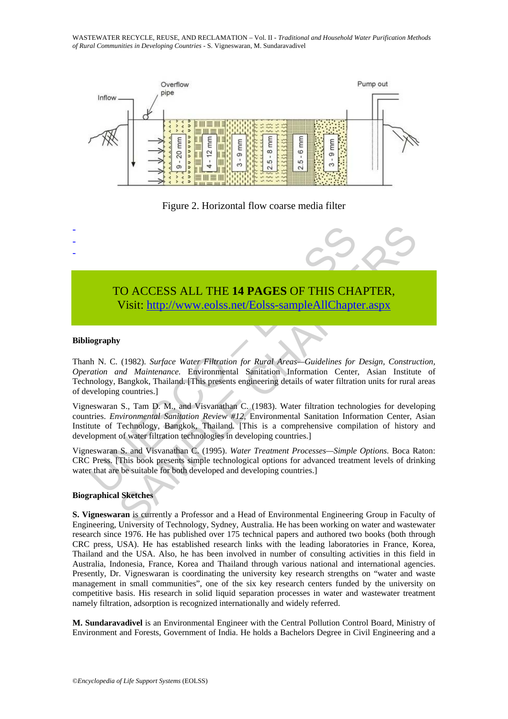WASTEWATER RECYCLE, REUSE, AND RECLAMATION – Vol. II - *Traditional and Household Water Purification Methods of Rural Communities in Developing Countries* - S. Vigneswaran, M. Sundaravadivel



Figure 2. Horizontal flow coarse media filter



#### **Bibliography**

- - -

Thanh N. C. (1982). *Surface Water Filtration for Rural Areas—Guidelines for Design, Construction, Operation and Maintenance.* Environmental Sanitation Information Center, Asian Institute of Technology, Bangkok, Thailand. [This presents engineering details of water filtration units for rural areas of developing countries.]

TO ACCESS ALL THE 14 PAGES OF THIS CHANNIST USE CHANNIST USE CHANNIST USE: the UNESCONDIBUTE USE CHANNIST USE A USE CONTROLLED IN A N. C. (1982). Surface Water Filtration for Rural Areas—Guidelines for ration and Maintenan TO ACCESS ALL THE 14 PAGES OF THIS CHA[PTE](https://www.eolss.net/ebooklib/sc_cart.aspx?File=E2-14-03-04)R,<br>
Visit: http://www.eolss.net/Eolss-sampleAllChapter.aspx<br>
y<br>
(1982). *Surface Water Filtration for Rural Area*—*Guidelines for Design, Construend Maintenance.* Environmental Sani Vigneswaran S., Tam D. M., and Visvanathan C. (1983). Water filtration technologies for developing countries. *Environmental Sanitation Review #12,* Environmental Sanitation Information Center, Asian Institute of Technology, Bangkok, Thailand. [This is a comprehensive compilation of history and development of water filtration technologies in developing countries.]

Vigneswaran S. and Visvanathan C. (1995). *Water Treatment Processes—Simple Options.* Boca Raton: CRC Press. [This book presents simple technological options for advanced treatment levels of drinking water that are be suitable for both developed and developing countries.]

#### **Biographical Sketches**

**S. Vigneswaran** is currently a Professor and a Head of Environmental Engineering Group in Faculty of Engineering, University of Technology, Sydney, Australia. He has been working on water and wastewater research since 1976. He has published over 175 technical papers and authored two books (both through CRC press, USA). He has established research links with the leading laboratories in France, Korea, Thailand and the USA. Also, he has been involved in number of consulting activities in this field in Australia, Indonesia, France, Korea and Thailand through various national and international agencies. Presently, Dr. Vigneswaran is coordinating the university key research strengths on "water and waste management in small communities", one of the six key research centers funded by the university on competitive basis. His research in solid liquid separation processes in water and wastewater treatment namely filtration, adsorption is recognized internationally and widely referred.

**M. Sundaravadivel** is an Environmental Engineer with the Central Pollution Control Board, Ministry of Environment and Forests, Government of India. He holds a Bachelors Degree in Civil Engineering and a